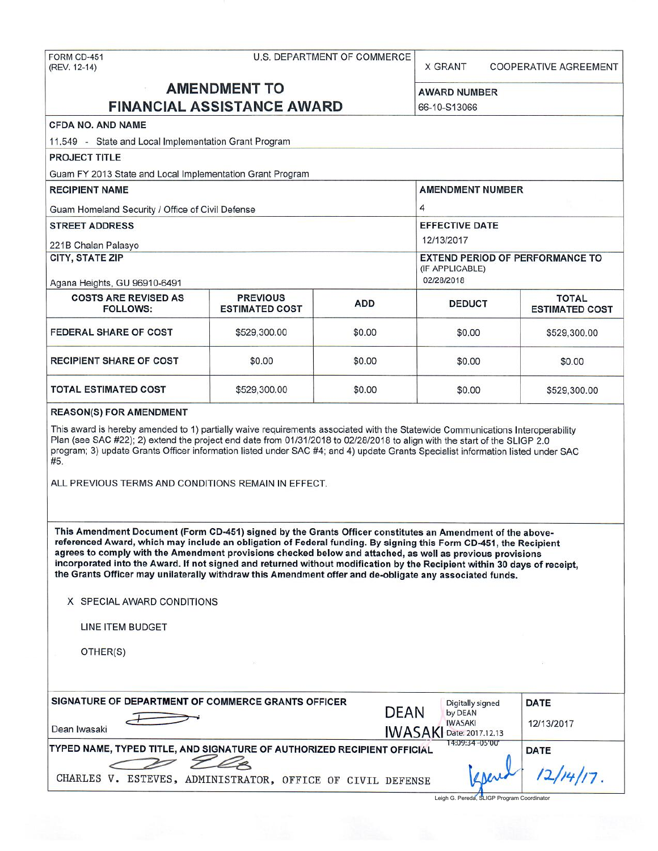# FORM CD-451 U.S. DEPARTMENT OF COMMERCE (REV. 12-14)

X GRANT COOPERATIVE AGREEMENT

## **AMENDMENT TO** AWARD NUMBER **FINANCIAL ASSISTANCE AWARD** 66-10-S13066

|                                                                                                                                                                                                                                                                                                                                                                                                                                                                                                                                                                                   | I INANGIAL AGGIOTANGLAMAND               |                                                                         | JU-10-J 1JUUU                                            |                                       |  |
|-----------------------------------------------------------------------------------------------------------------------------------------------------------------------------------------------------------------------------------------------------------------------------------------------------------------------------------------------------------------------------------------------------------------------------------------------------------------------------------------------------------------------------------------------------------------------------------|------------------------------------------|-------------------------------------------------------------------------|----------------------------------------------------------|---------------------------------------|--|
| <b>CFDA NO. AND NAME</b>                                                                                                                                                                                                                                                                                                                                                                                                                                                                                                                                                          |                                          |                                                                         |                                                          |                                       |  |
| 11.549 - State and Local Implementation Grant Program                                                                                                                                                                                                                                                                                                                                                                                                                                                                                                                             |                                          |                                                                         |                                                          |                                       |  |
| <b>PROJECT TITLE</b>                                                                                                                                                                                                                                                                                                                                                                                                                                                                                                                                                              |                                          |                                                                         |                                                          |                                       |  |
| Guam FY 2013 State and Local Implementation Grant Program                                                                                                                                                                                                                                                                                                                                                                                                                                                                                                                         |                                          |                                                                         |                                                          |                                       |  |
| <b>RECIPIENT NAME</b>                                                                                                                                                                                                                                                                                                                                                                                                                                                                                                                                                             |                                          |                                                                         | <b>AMENDMENT NUMBER</b>                                  |                                       |  |
| Guam Homeland Security / Office of Civil Defense                                                                                                                                                                                                                                                                                                                                                                                                                                                                                                                                  |                                          |                                                                         | 4                                                        |                                       |  |
| <b>STREET ADDRESS</b>                                                                                                                                                                                                                                                                                                                                                                                                                                                                                                                                                             |                                          | <b>EFFECTIVE DATE</b><br>12/13/2017                                     |                                                          |                                       |  |
| 221B Chalan Palasyo                                                                                                                                                                                                                                                                                                                                                                                                                                                                                                                                                               |                                          |                                                                         |                                                          |                                       |  |
| <b>CITY, STATE ZIP</b><br>Agana Heights, GU 96910-6491                                                                                                                                                                                                                                                                                                                                                                                                                                                                                                                            |                                          | <b>EXTEND PERIOD OF PERFORMANCE TO</b><br>(IF APPLICABLE)<br>02/28/2018 |                                                          |                                       |  |
| <b>COSTS ARE REVISED AS</b><br><b>FOLLOWS:</b>                                                                                                                                                                                                                                                                                                                                                                                                                                                                                                                                    | <b>PREVIOUS</b><br><b>ESTIMATED COST</b> | <b>ADD</b>                                                              | <b>DEDUCT</b>                                            | <b>TOTAL</b><br><b>ESTIMATED COST</b> |  |
| <b>FEDERAL SHARE OF COST</b>                                                                                                                                                                                                                                                                                                                                                                                                                                                                                                                                                      | \$529,300.00                             | \$0.00                                                                  | \$0.00                                                   | \$529,300.00                          |  |
| <b>RECIPIENT SHARE OF COST</b>                                                                                                                                                                                                                                                                                                                                                                                                                                                                                                                                                    | \$0.00                                   | \$0.00                                                                  | \$0.00                                                   | \$0.00                                |  |
| <b>TOTAL ESTIMATED COST</b>                                                                                                                                                                                                                                                                                                                                                                                                                                                                                                                                                       | \$529,300.00                             | \$0.00                                                                  | \$0.00                                                   | \$529,300.00                          |  |
| ALL PREVIOUS TERMS AND CONDITIONS REMAIN IN EFFECT.                                                                                                                                                                                                                                                                                                                                                                                                                                                                                                                               |                                          |                                                                         |                                                          |                                       |  |
| This Amendment Document (Form CD-451) signed by the Grants Officer constitutes an Amendment of the above-<br>referenced Award, which may include an obligation of Federal funding. By signing this Form CD-451, the Recipient<br>agrees to comply with the Amendment provisions checked below and attached, as well as previous provisions<br>incorporated into the Award. If not signed and returned without modification by the Recipient within 30 days of receipt,<br>the Grants Officer may unilaterally withdraw this Amendment offer and de-obligate any associated funds. |                                          |                                                                         |                                                          |                                       |  |
| X SPECIAL AWARD CONDITIONS                                                                                                                                                                                                                                                                                                                                                                                                                                                                                                                                                        |                                          |                                                                         |                                                          |                                       |  |
| LINE ITEM BUDGET                                                                                                                                                                                                                                                                                                                                                                                                                                                                                                                                                                  |                                          |                                                                         |                                                          |                                       |  |
| OTHER(S)                                                                                                                                                                                                                                                                                                                                                                                                                                                                                                                                                                          |                                          |                                                                         |                                                          |                                       |  |
| SIGNATURE OF DEPARTMENT OF COMMERCE GRANTS OFFICER                                                                                                                                                                                                                                                                                                                                                                                                                                                                                                                                |                                          |                                                                         | <b>Digitally signed</b>                                  | <b>DATE</b>                           |  |
| Dean Iwasaki                                                                                                                                                                                                                                                                                                                                                                                                                                                                                                                                                                      |                                          | <b>DEAN</b>                                                             | by DEAN<br><b>IWASAKI</b><br>IWASAKI<br>Date: 2017.12.13 | 12/13/2017                            |  |
| TYPED NAME, TYPED TITLE, AND SIGNATURE OF AUTHORIZED RECIPIENT OFFICIAL                                                                                                                                                                                                                                                                                                                                                                                                                                                                                                           |                                          |                                                                         | 14:09:34 -05'00"                                         | <b>DATE</b>                           |  |
| CHARLES V. ESTEVES, ADMINISTRATOR, OFFICE OF CIVIL DEFENSE                                                                                                                                                                                                                                                                                                                                                                                                                                                                                                                        |                                          |                                                                         |                                                          |                                       |  |
|                                                                                                                                                                                                                                                                                                                                                                                                                                                                                                                                                                                   |                                          |                                                                         | Leigh G. Pereda, SLIGP Program Coordinator               |                                       |  |

Leigh G. Pereda, SLIGP Program Coordinator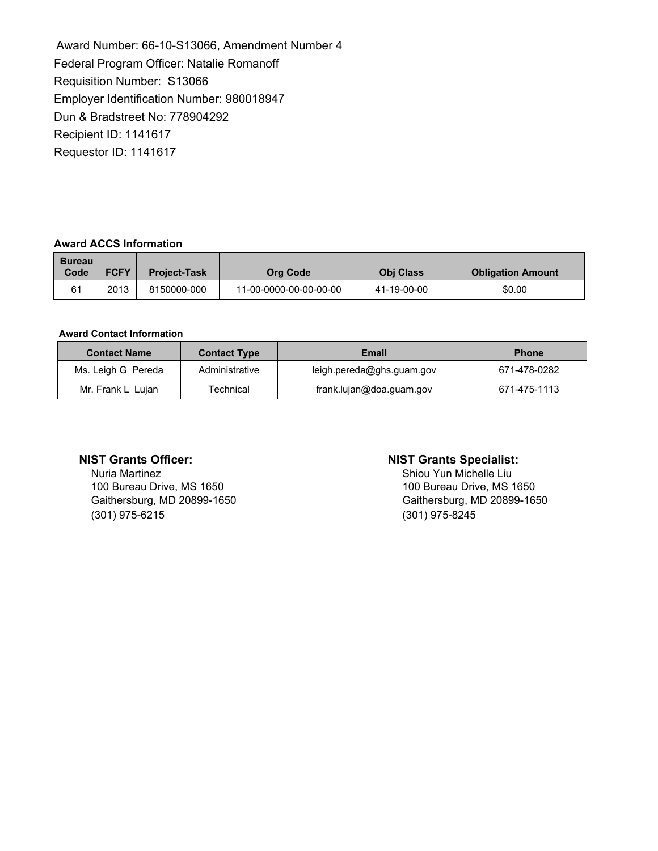Award Number: 66-10-S13066, Amendment Number 4 Federal Program Officer: Natalie Romanoff Requisition Number: S13066 Employer Identification Number: 980018947 Dun & Bradstreet No: 778904292 Recipient ID: 1141617 Requestor ID: 1141617

#### **Award ACCS Information**

| <b>Bureau</b><br>Code | <b>FCFY</b> | <b>Project-Task</b> | Org Code               | <b>Obi Class</b> | <b>Obligation Amount</b> |
|-----------------------|-------------|---------------------|------------------------|------------------|--------------------------|
| 61                    | 2013        | 8150000-000         | 11-00-0000-00-00-00-00 | 41-19-00-00      | \$0.00                   |

#### **Award Contact Information**

| <b>Contact Name</b> | <b>Contact Type</b><br>Email |                           | <b>Phone</b> |
|---------------------|------------------------------|---------------------------|--------------|
| Ms. Leigh G Pereda  | Administrative               | leigh.pereda@ghs.guam.gov | 671-478-0282 |
| Mr. Frank L Lujan   | Technical                    | frank.lujan@doa.guam.gov  | 671-475-1113 |

Nuria Martinez 100 Bureau Drive, MS 1650 Gaithersburg, MD 20899-1650 (301) 975-6215

#### **NIST Grants Officer: NIST Grants Specialist:**

Shiou Yun Michelle Liu 100 Bureau Drive, MS 1650 Gaithersburg, MD 20899-1650 (301) 975-8245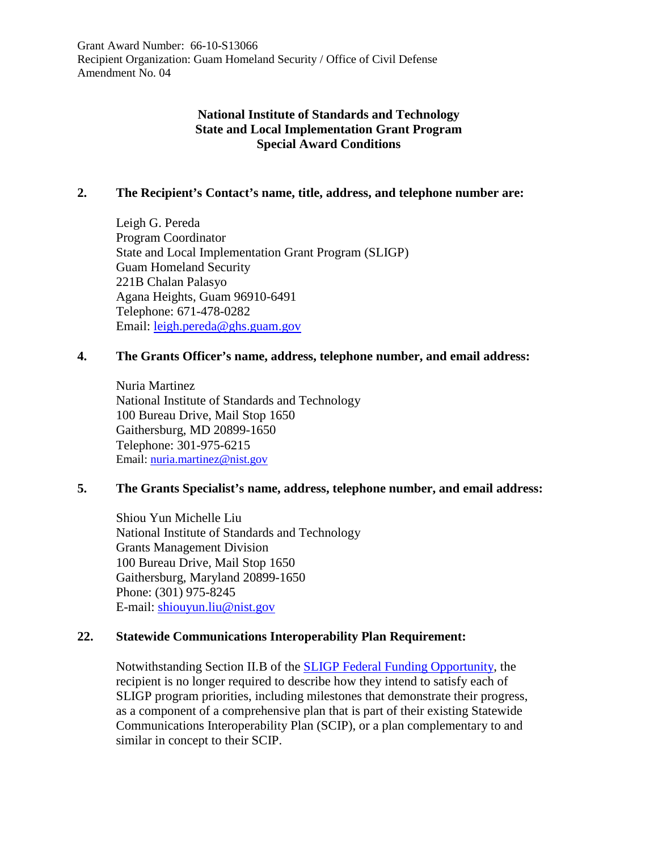Grant Award Number: 66-10-S13066 Recipient Organization: Guam Homeland Security / Office of Civil Defense Amendment No. 04

### **National Institute of Standards and Technology State and Local Implementation Grant Program Special Award Conditions**

#### **2. The Recipient's Contact's name, title, address, and telephone number are:**

Leigh G. Pereda Program Coordinator State and Local Implementation Grant Program (SLIGP) Guam Homeland Security 221B Chalan Palasyo Agana Heights, Guam 96910-6491 Telephone: 671-478-0282 Email: [leigh.pereda@ghs.guam.gov](mailto:leigh.pereda@ghs.guam.gov)

#### **4. The Grants Officer's name, address, telephone number, and email address:**

Nuria Martinez National Institute of Standards and Technology 100 Bureau Drive, Mail Stop 1650 Gaithersburg, MD 20899-1650 Telephone: 301-975-6215 Email: [nuria.martinez@nist.gov](mailto:nuria.martinez@nist.gov)

### **5. The Grants Specialist's name, address, telephone number, and email address:**

Shiou Yun Michelle Liu National Institute of Standards and Technology Grants Management Division 100 Bureau Drive, Mail Stop 1650 Gaithersburg, Maryland 20899-1650 Phone: (301) 975-8245 E-mail: [shiouyun.liu@nist.gov](mailto:shiouyun.liu@nist.gov)

#### **22. Statewide Communications Interoperability Plan Requirement:**

Notwithstanding Section II.B of the [SLIGP Federal Funding Opportunity,](https://www.ntia.doc.gov/files/ntia/publications/sligp_ffo_02062013.pdf) the recipient is no longer required to describe how they intend to satisfy each of SLIGP program priorities, including milestones that demonstrate their progress, as a component of a comprehensive plan that is part of their existing Statewide Communications Interoperability Plan (SCIP), or a plan complementary to and similar in concept to their SCIP.